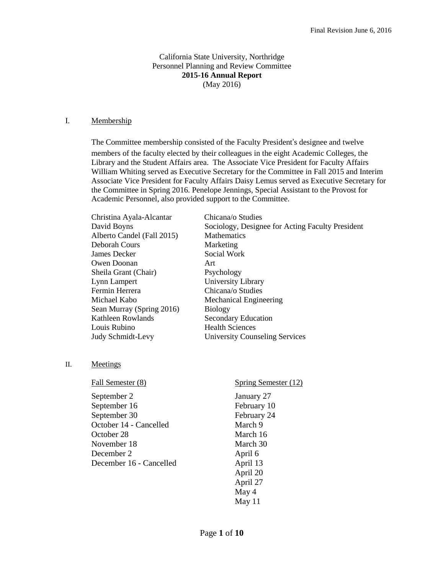### California State University, Northridge Personnel Planning and Review Committee **2015-16 Annual Report** (May 2016)

#### I. Membership

The Committee membership consisted of the Faculty President's designee and twelve

members of the faculty elected by their colleagues in the eight Academic Colleges, the Library and the Student Affairs area. The Associate Vice President for Faculty Affairs William Whiting served as Executive Secretary for the Committee in Fall 2015 and Interim Associate Vice President for Faculty Affairs Daisy Lemus served as Executive Secretary for the Committee in Spring 2016. Penelope Jennings, Special Assistant to the Provost for Academic Personnel, also provided support to the Committee.

| Chicana/o Studies                                |
|--------------------------------------------------|
| Sociology, Designee for Acting Faculty President |
| <b>Mathematics</b>                               |
| Marketing                                        |
| Social Work                                      |
| Art                                              |
| Psychology                                       |
| University Library                               |
| Chicana/o Studies                                |
| Mechanical Engineering                           |
| <b>Biology</b>                                   |
| <b>Secondary Education</b>                       |
| <b>Health Sciences</b>                           |
| <b>University Counseling Services</b>            |
|                                                  |

II. Meetings

| Fall Semester (8)       | Spring Semester (12) |
|-------------------------|----------------------|
| September 2             | January 27           |
| September 16            | February 10          |
| September 30            | February 24          |
| October 14 - Cancelled  | March 9              |
| October 28              | March 16             |
| November 18             | March 30             |
| December 2              | April 6              |
| December 16 - Cancelled | April 13             |
|                         | April 20             |
|                         | April 27             |
|                         | May 4                |
|                         | May 11               |
|                         |                      |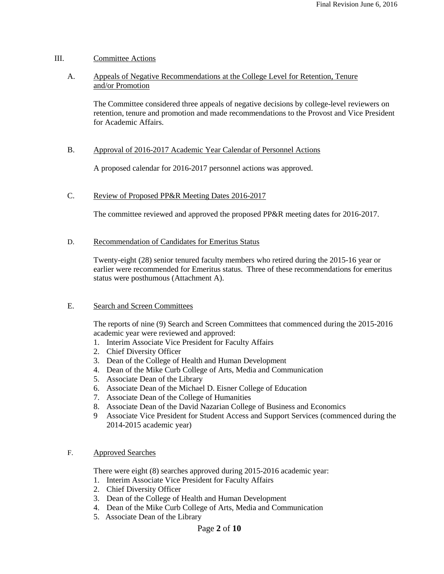### III. Committee Actions

A. Appeals of Negative Recommendations at the College Level for Retention, Tenure and/or Promotion

The Committee considered three appeals of negative decisions by college-level reviewers on retention, tenure and promotion and made recommendations to the Provost and Vice President for Academic Affairs.

### B. Approval of 2016-2017 Academic Year Calendar of Personnel Actions

A proposed calendar for 2016-2017 personnel actions was approved.

### C. Review of Proposed PP&R Meeting Dates 2016-2017

The committee reviewed and approved the proposed PP&R meeting dates for 2016-2017.

### D. Recommendation of Candidates for Emeritus Status

Twenty-eight (28) senior tenured faculty members who retired during the 2015-16 year or earlier were recommended for Emeritus status. Three of these recommendations for emeritus status were posthumous (Attachment A).

### E. Search and Screen Committees

The reports of nine (9) Search and Screen Committees that commenced during the 2015-2016 academic year were reviewed and approved:

- 1. Interim Associate Vice President for Faculty Affairs
- 2. Chief Diversity Officer
- 3. Dean of the College of Health and Human Development
- 4. Dean of the Mike Curb College of Arts, Media and Communication
- 5. Associate Dean of the Library
- 6. Associate Dean of the Michael D. Eisner College of Education
- 7. Associate Dean of the College of Humanities
- 8. Associate Dean of the David Nazarian College of Business and Economics
- 9 Associate Vice President for Student Access and Support Services (commenced during the 2014-2015 academic year)

## F. Approved Searches

There were eight (8) searches approved during 2015-2016 academic year:

- 1. Interim Associate Vice President for Faculty Affairs
- 2. Chief Diversity Officer
- 3. Dean of the College of Health and Human Development
- 4. Dean of the Mike Curb College of Arts, Media and Communication
- 5. Associate Dean of the Library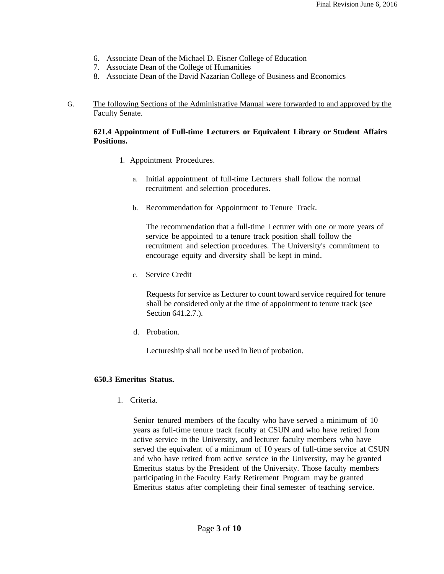- 6. Associate Dean of the Michael D. Eisner College of Education
- 7. Associate Dean of the College of Humanities
- 8. Associate Dean of the David Nazarian College of Business and Economics

### G. The following Sections of the Administrative Manual were forwarded to and approved by the Faculty Senate.

## **621.4 Appointment of Full-time Lecturers or Equivalent Library or Student Affairs Positions.**

- 1.Appointment Procedures.
	- a. Initial appointment of full-time Lecturers shall follow the normal recruitment and selection procedures.
	- b. Recommendation for Appointment to Tenure Track.

The recommendation that a full-time Lecturer with one or more years of service be appointed to a tenure track position shall follow the recruitment and selection procedures. The University's commitment to encourage equity and diversity shall be kept in mind.

c. Service Credit

Requests for service as Lecturer to count toward service required for tenure shall be considered only at the time of appointment to tenure track (see Section 641.2.7.).

d. Probation.

Lectureship shall not be used in lieu of probation.

### **650.3 Emeritus Status.**

1. Criteria.

Senior tenured members of the faculty who have served a minimum of 10 years as full-time tenure track faculty at CSUN and who have retired from active service in the University, and lecturer faculty members who have served the equivalent of a minimum of I0 years of full-time service at CSUN and who have retired from active service in the University, may be granted Emeritus status by the President of the University. Those faculty members participating in the Faculty Early Retirement Program may be granted Emeritus status after completing their final semester of teaching service.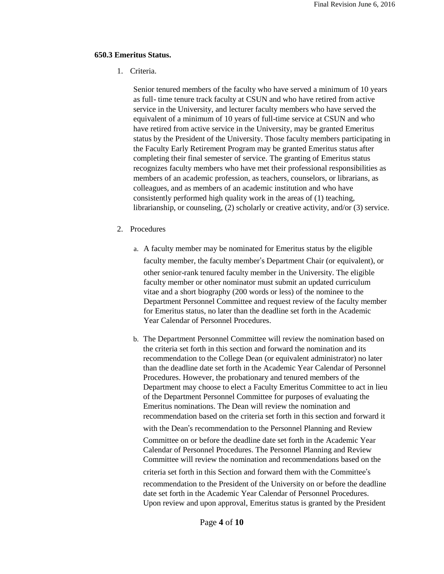#### **650.3 Emeritus Status.**

1. Criteria.

Senior tenured members of the faculty who have served a minimum of 10 years as full- time tenure track faculty at CSUN and who have retired from active service in the University, and lecturer faculty members who have served the equivalent of a minimum of 10 years of full-time service at CSUN and who have retired from active service in the University, may be granted Emeritus status by the President of the University. Those faculty members participating in the Faculty Early Retirement Program may be granted Emeritus status after completing their final semester of service. The granting of Emeritus status recognizes faculty members who have met their professional responsibilities as members of an academic profession, as teachers, counselors, or librarians, as colleagues, and as members of an academic institution and who have consistently performed high quality work in the areas of (1) teaching, librarianship, or counseling, (2) scholarly or creative activity, and/or (3) service.

- 2. Procedures
	- a. A faculty member may be nominated for Emeritus status by the eligible faculty member, the faculty member's Department Chair (or equivalent), or other senior-rank tenured faculty member in the University. The eligible faculty member or other nominator must submit an updated curriculum vitae and a short biography (200 words or less) of the nominee to the Department Personnel Committee and request review of the faculty member for Emeritus status, no later than the deadline set forth in the Academic Year Calendar of Personnel Procedures.
	- b. The Department Personnel Committee will review the nomination based on the criteria set forth in this section and forward the nomination and its recommendation to the College Dean (or equivalent administrator) no later than the deadline date set forth in the Academic Year Calendar of Personnel Procedures. However, the probationary and tenured members of the Department may choose to elect a Faculty Emeritus Committee to act in lieu of the Department Personnel Committee for purposes of evaluating the Emeritus nominations. The Dean will review the nomination and recommendation based on the criteria set forth in this section and forward it

with the Dean's recommendation to the Personnel Planning and Review

Committee on or before the deadline date set forth in the Academic Year Calendar of Personnel Procedures. The Personnel Planning and Review Committee will review the nomination and recommendations based on the

criteria set forth in this Section and forward them with the Committee's

recommendation to the President of the University on or before the deadline date set forth in the Academic Year Calendar of Personnel Procedures. Upon review and upon approval, Emeritus status is granted by the President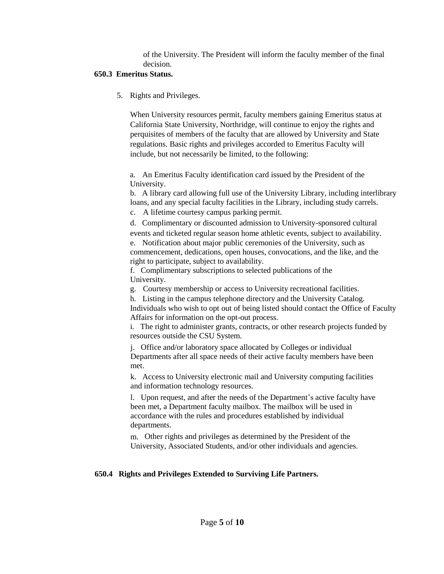of the University. The President will inform the faculty member of the final decision.

# **650.3 Emeritus Status.**

5. Rights and Privileges.

When University resources permit, faculty members gaining Emeritus status at California State University, Northridge, will continue to enjoy the rights and perquisites of members of the faculty that are allowed by University and State regulations. Basic rights and privileges accorded to Emeritus Faculty will include, but not necessarily be limited, to the following:

a. An Emeritus Faculty identification card issued by the President of the University.

b. A library card allowing full use of the University Library, including interlibrary loans, and any special faculty facilities in the Library, including study carrels.

c. A lifetime courtesy campus parking permit.

d. Complimentary or discounted admission to University-sponsored cultural events and ticketed regular season home athletic events, subject to availability.

e. Notification about major public ceremonies of the University, such as commencement, dedications, open houses, convocations, and the like, and the right to participate, subject to availability.

f. Complimentary subscriptions to selected publications of the University.

g. Courtesy membership or access to University recreational facilities.

h. Listing in the campus telephone directory and the University Catalog.

Individuals who wish to opt out of being listed should contact the Office of Faculty Affairs for information on the opt-out process.

i. The right to administer grants, contracts, or other research projects funded by resources outside the CSU System.

j. Office and/or laboratory space allocated by Colleges or individual Departments after all space needs of their active faculty members have been met.

k. Access to University electronic mail and University computing facilities and information technology resources.

l. Upon request, and after the needs of the Department's active faculty have been met, a Department faculty mailbox. The mailbox will be used in accordance with the rules and procedures established by individual departments.

m. Other rights and privileges as determined by the President of the University, Associated Students, and/or other individuals and agencies.

# **650.4 Rights and Privileges Extended to Surviving Life Partners.**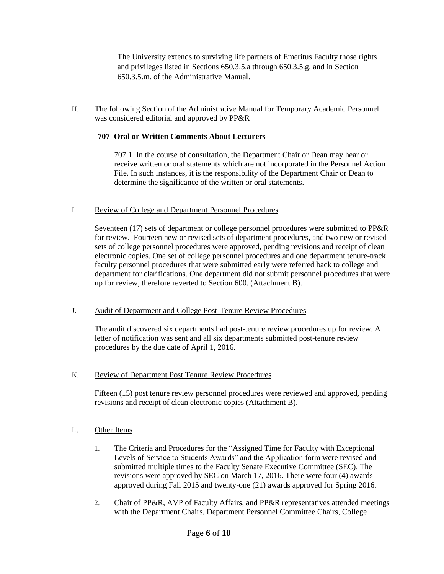The University extends to surviving life partners of Emeritus Faculty those rights and privileges listed in Sections 650.3.5.a through 650.3.5.g. and in Section 650.3.5.m. of the Administrative Manual.

## H. The following Section of the Administrative Manual for Temporary Academic Personnel was considered editorial and approved by PP&R

# **707 Oral or Written Comments About Lecturers**

707.1 In the course of consultation, the Department Chair or Dean may hear or receive written or oral statements which are not incorporated in the Personnel Action File. In such instances, it is the responsibility of the Department Chair or Dean to determine the significance of the written or oral statements.

## I. Review of College and Department Personnel Procedures

Seventeen (17) sets of department or college personnel procedures were submitted to PP&R for review. Fourteen new or revised sets of department procedures, and two new or revised sets of college personnel procedures were approved, pending revisions and receipt of clean electronic copies. One set of college personnel procedures and one department tenure-track faculty personnel procedures that were submitted early were referred back to college and department for clarifications. One department did not submit personnel procedures that were up for review, therefore reverted to Section 600. (Attachment B).

# J. Audit of Department and College Post-Tenure Review Procedures

The audit discovered six departments had post-tenure review procedures up for review. A letter of notification was sent and all six departments submitted post-tenure review procedures by the due date of April 1, 2016.

# K. Review of Department Post Tenure Review Procedures

Fifteen (15) post tenure review personnel procedures were reviewed and approved, pending revisions and receipt of clean electronic copies (Attachment B).

# L. Other Items

- 1. The Criteria and Procedures for the "Assigned Time for Faculty with Exceptional Levels of Service to Students Awards" and the Application form were revised and submitted multiple times to the Faculty Senate Executive Committee (SEC). The revisions were approved by SEC on March 17, 2016. There were four (4) awards approved during Fall 2015 and twenty-one (21) awards approved for Spring 2016.
- 2. Chair of PP&R, AVP of Faculty Affairs, and PP&R representatives attended meetings with the Department Chairs, Department Personnel Committee Chairs, College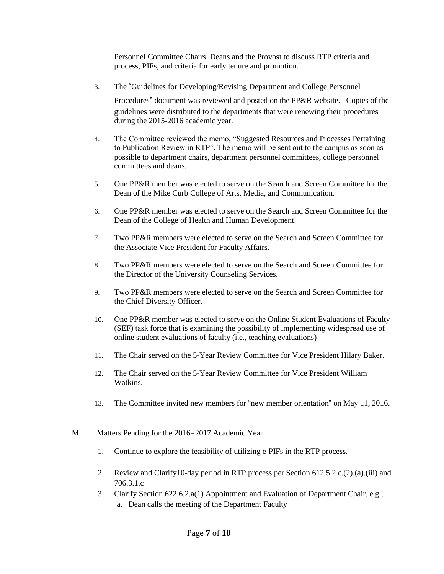Personnel Committee Chairs, Deans and the Provost to discuss RTP criteria and process, PIFs, and criteria for early tenure and promotion.

3. The "Guidelines for Developing/Revising Department and College Personnel

Procedures" document was reviewed and posted on the PP&R website. Copies of the guidelines were distributed to the departments that were renewing their procedures during the 2015-2016 academic year.

- 4. The Committee reviewed the memo, "Suggested Resources and Processes Pertaining to Publication Review in RTP". The memo will be sent out to the campus as soon as possible to department chairs, department personnel committees, college personnel committees and deans.
- 5. One PP&R member was elected to serve on the Search and Screen Committee for the Dean of the Mike Curb College of Arts, Media, and Communication.
- 6. One PP&R member was elected to serve on the Search and Screen Committee for the Dean of the College of Health and Human Development.
- 7. Two PP&R members were elected to serve on the Search and Screen Committee for the Associate Vice President for Faculty Affairs.
- 8. Two PP&R members were elected to serve on the Search and Screen Committee for the Director of the University Counseling Services.
- 9. Two PP&R members were elected to serve on the Search and Screen Committee for the Chief Diversity Officer.
- 10. One PP&R member was elected to serve on the Online Student Evaluations of Faculty (SEF) task force that is examining the possibility of implementing widespread use of online student evaluations of faculty (i.e., teaching evaluations)
- 11. The Chair served on the 5-Year Review Committee for Vice President Hilary Baker.
- 12. The Chair served on the 5-Year Review Committee for Vice President William Watkins.
- 13. The Committee invited new members for "new member orientation" on May 11, 2016.

### M. Matters Pending for the 2016-2017 Academic Year

- 1. Continue to explore the feasibility of utilizing e-PIFs in the RTP process.
- 2. Review and Clarify10-day period in RTP process per Section 612.5.2.c.(2).(a).(iii) and 706.3.1.c
- 3. Clarify Section 622.6.2.a(1) Appointment and Evaluation of Department Chair, e.g., a. Dean calls the meeting of the Department Faculty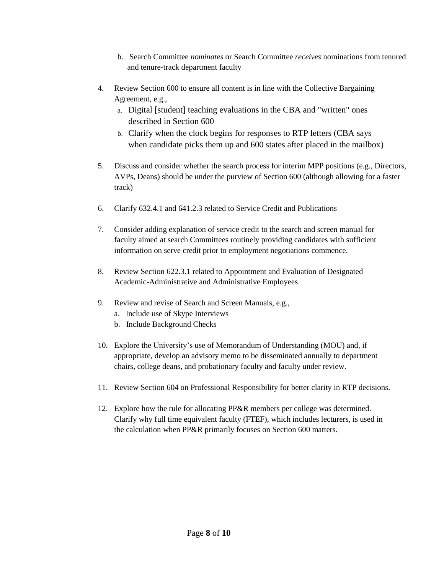- b. Search Committee *nominates* or Search Committee *receives* nominations from tenured and tenure-track department faculty
- 4. Review Section 600 to ensure all content is in line with the Collective Bargaining Agreement, e.g.,
	- a. Digital [student] teaching evaluations in the CBA and "written" ones described in Section 600
	- b. Clarify when the clock begins for responses to RTP letters (CBA says when candidate picks them up and 600 states after placed in the mailbox)
- 5. Discuss and consider whether the search process for interim MPP positions (e.g., Directors, AVPs, Deans) should be under the purview of Section 600 (although allowing for a faster track)
- 6. Clarify 632.4.1 and 641.2.3 related to Service Credit and Publications
- 7. Consider adding explanation of service credit to the search and screen manual for faculty aimed at search Committees routinely providing candidates with sufficient information on serve credit prior to employment negotiations commence.
- 8. Review Section 622.3.1 related to Appointment and Evaluation of Designated Academic-Administrative and Administrative Employees
- 9. Review and revise of Search and Screen Manuals, e.g.,
	- a. Include use of Skype Interviews
	- b. Include Background Checks
- 10. Explore the University's use of Memorandum of Understanding (MOU) and, if appropriate, develop an advisory memo to be disseminated annually to department chairs, college deans, and probationary faculty and faculty under review.
- 11. Review Section 604 on Professional Responsibility for better clarity in RTP decisions.
- 12. Explore how the rule for allocating PP&R members per college was determined. Clarify why full time equivalent faculty (FTEF), which includes lecturers, is used in the calculation when PP&R primarily focuses on Section 600 matters.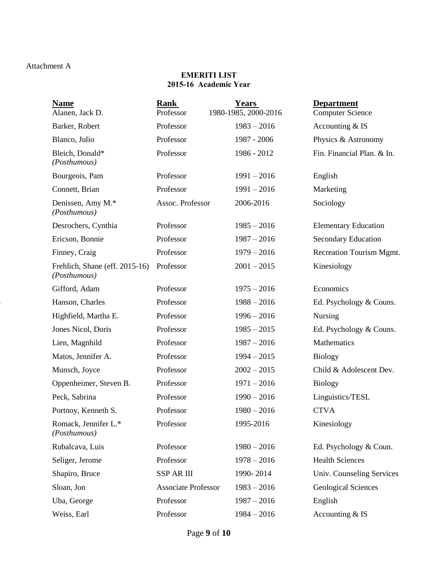## Attachment A

## **EMERITI LIST 2015-16 Academic Year**

| <b>Name</b><br>Alanen, Jack D.                 | <b>Rank</b><br>Professor   | <b>Years</b><br>1980-1985, 2000-2016 | <b>Department</b><br><b>Computer Science</b> |
|------------------------------------------------|----------------------------|--------------------------------------|----------------------------------------------|
| Barker, Robert                                 | Professor                  | $1983 - 2016$                        | Accounting & IS                              |
| Blanco, Julio                                  | Professor                  | 1987 - 2006                          | Physics & Astronomy                          |
| Bleich, Donald*<br>(Posthumous)                | Professor                  | 1986 - 2012                          | Fin. Financial Plan. & In.                   |
| Bourgeois, Pam                                 | Professor                  | $1991 - 2016$                        | English                                      |
| Connett, Brian                                 | Professor                  | $1991 - 2016$                        | Marketing                                    |
| Denissen, Amy M.*<br>(Posthumous)              | Assoc. Professor           | 2006-2016                            | Sociology                                    |
| Desrochers, Cynthia                            | Professor                  | $1985 - 2016$                        | <b>Elementary Education</b>                  |
| Ericson, Bonnie                                | Professor                  | $1987 - 2016$                        | <b>Secondary Education</b>                   |
| Finney, Craig                                  | Professor                  | $1979 - 2016$                        | <b>Recreation Tourism Mgmt.</b>              |
| Frehlich, Shane (eff. 2015-16)<br>(Posthumous) | Professor                  | $2001 - 2015$                        | Kinesiology                                  |
| Gifford, Adam                                  | Professor                  | $1975 - 2016$                        | Economics                                    |
| Hanson, Charles                                | Professor                  | $1988 - 2016$                        | Ed. Psychology & Couns.                      |
| Highfield, Martha E.                           | Professor                  | $1996 - 2016$                        | <b>Nursing</b>                               |
| Jones Nicol, Doris                             | Professor                  | $1985 - 2015$                        | Ed. Psychology & Couns.                      |
| Lien, Magnhild                                 | Professor                  | $1987 - 2016$                        | Mathematics                                  |
| Matos, Jennifer A.                             | Professor                  | $1994 - 2015$                        | <b>Biology</b>                               |
| Munsch, Joyce                                  | Professor                  | $2002 - 2015$                        | Child & Adolescent Dev.                      |
| Oppenheimer, Steven B.                         | Professor                  | $1971 - 2016$                        | <b>Biology</b>                               |
| Peck, Sabrina                                  | Professor                  | $1990 - 2016$                        | Linguistics/TESL                             |
| Portnoy, Kenneth S.                            | Professor                  | $1980 - 2016$                        | <b>CTVA</b>                                  |
| Romack, Jennifer L.*<br>(Posthumous)           | Professor                  | 1995-2016                            | Kinesiology                                  |
| Rubalcava, Luis                                | Professor                  | $1980 - 2016$                        | Ed. Psychology & Coun.                       |
| Seliger, Jerome                                | Professor                  | $1978 - 2016$                        | <b>Health Sciences</b>                       |
| Shapiro, Bruce                                 | <b>SSP AR III</b>          | 1990-2014                            | Univ. Counseling Services                    |
| Sloan, Jon                                     | <b>Associate Professor</b> | $1983 - 2016$                        | <b>Geological Sciences</b>                   |
| Uba, George                                    | Professor                  | $1987 - 2016$                        | English                                      |
| Weiss, Earl                                    | Professor                  | $1984 - 2016$                        | Accounting & IS                              |